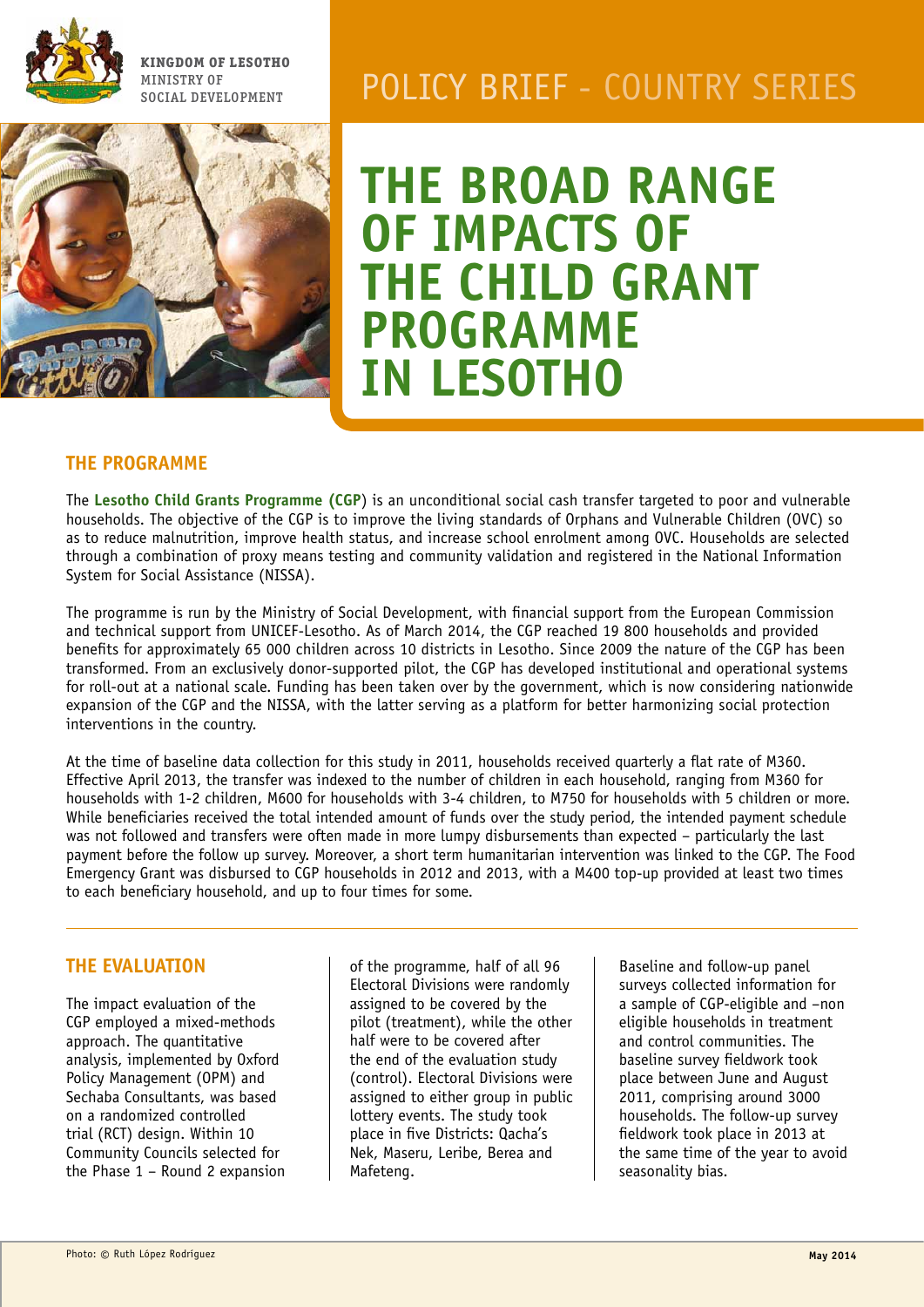

**Kingdom of Lesotho** Ministry of



# MINISTRY OF POLICY BRIEF - COUNTRY SERIES

**The broad range of impacts of THE CHILD GRANT Programme in Lesotho**

#### **The programme**

The **Lesotho Child Grants Programme (CGP**) is an unconditional social cash transfer targeted to poor and vulnerable households. The objective of the CGP is to improve the living standards of Orphans and Vulnerable Children (OVC) so as to reduce malnutrition, improve health status, and increase school enrolment among OVC. Households are selected through a combination of proxy means testing and community validation and registered in the National Information System for Social Assistance (NISSA).

The programme is run by the Ministry of Social Development, with financial support from the European Commission and technical support from UNICEF-Lesotho. As of March 2014, the CGP reached 19 800 households and provided benefits for approximately 65 000 children across 10 districts in Lesotho. Since 2009 the nature of the CGP has been transformed. From an exclusively donor-supported pilot, the CGP has developed institutional and operational systems for roll-out at a national scale. Funding has been taken over by the government, which is now considering nationwide expansion of the CGP and the NISSA, with the latter serving as a platform for better harmonizing social protection interventions in the country.

At the time of baseline data collection for this study in 2011, households received quarterly a flat rate of M360. Effective April 2013, the transfer was indexed to the number of children in each household, ranging from M360 for households with 1-2 children, M600 for households with 3-4 children, to M750 for households with 5 children or more. While beneficiaries received the total intended amount of funds over the study period, the intended payment schedule was not followed and transfers were often made in more lumpy disbursements than expected – particularly the last payment before the follow up survey. Moreover, a short term humanitarian intervention was linked to the CGP. The Food Emergency Grant was disbursed to CGP households in 2012 and 2013, with a M400 top-up provided at least two times to each beneficiary household, and up to four times for some.

## **The evaluation**

The impact evaluation of the CGP employed a mixed-methods approach. The quantitative analysis, implemented by Oxford Policy Management (OPM) and Sechaba Consultants, was based on a randomized controlled trial (RCT) design. Within 10 Community Councils selected for the Phase 1 – Round 2 expansion of the programme, half of all 96 Electoral Divisions were randomly assigned to be covered by the pilot (treatment), while the other half were to be covered after the end of the evaluation study (control). Electoral Divisions were assigned to either group in public lottery events. The study took place in five Districts: Qacha's Nek, Maseru, Leribe, Berea and Mafeteng.

Baseline and follow-up panel surveys collected information for a sample of CGP-eligible and –non eligible households in treatment and control communities. The baseline survey fieldwork took place between June and August 2011, comprising around 3000 households. The follow-up survey fieldwork took place in 2013 at the same time of the year to avoid seasonality bias.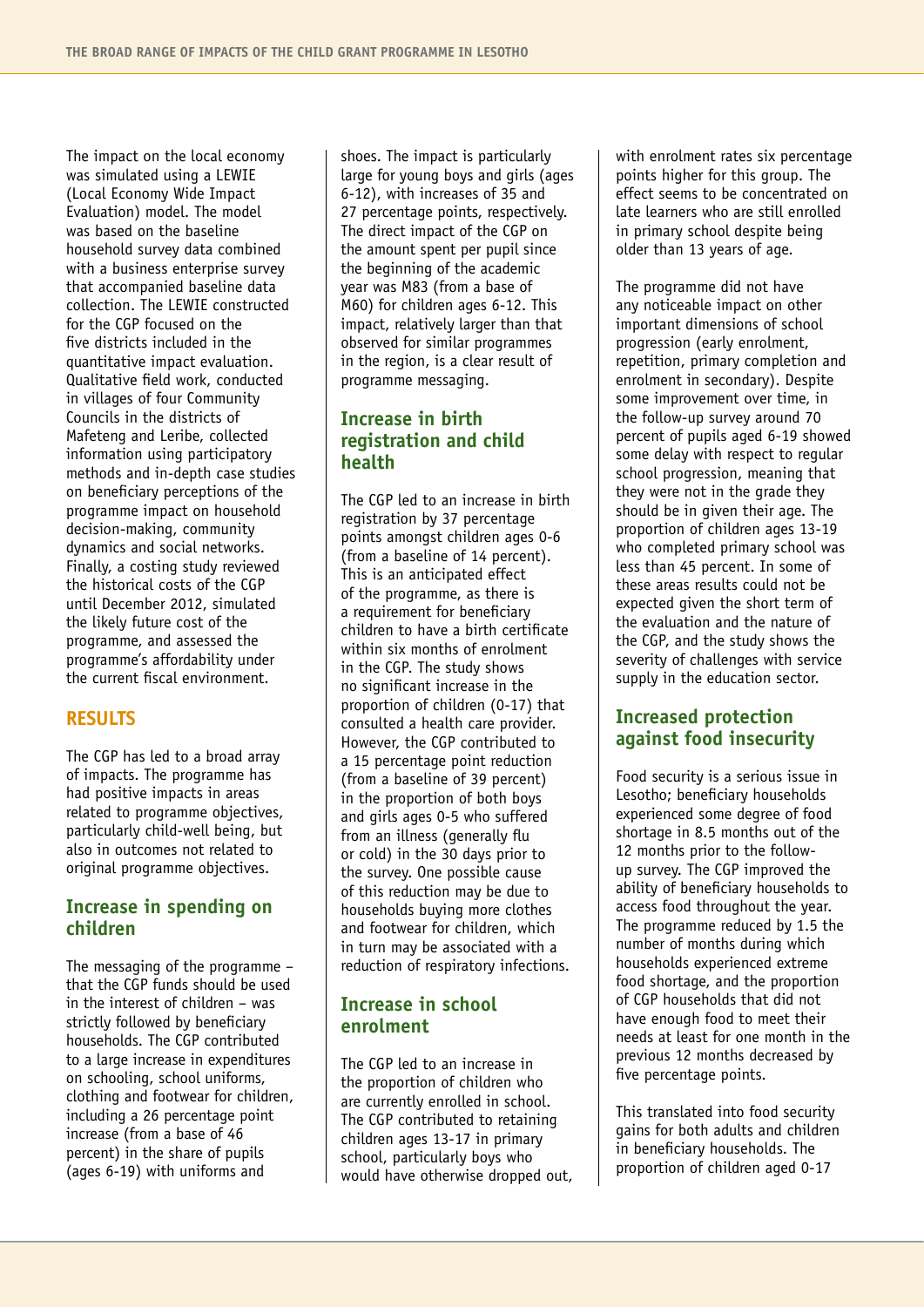The impact on the local economy was simulated using a LEWIE (Local Economy Wide Impact Evaluation) model. The model was based on the baseline household survey data combined with a business enterprise survey that accompanied baseline data collection. The LEWIE constructed for the CGP focused on the five districts included in the quantitative impact evaluation. Qualitative field work, conducted in villages of four Community Councils in the districts of Mafeteng and Leribe, collected information using participatory methods and in-depth case studies on beneficiary perceptions of the programme impact on household decision-making, community dynamics and social networks. Finally, a costing study reviewed the historical costs of the CGP until December 2012, simulated the likely future cost of the programme, and assessed the programme's affordability under the current fiscal environment.

#### **Results**

The CGP has led to a broad array of impacts. The programme has had positive impacts in areas related to programme objectives, particularly child-well being, but also in outcomes not related to original programme objectives.

## **Increase in spending on children**

The messaging of the programme – that the CGP funds should be used in the interest of children – was strictly followed by beneficiary households. The CGP contributed to a large increase in expenditures on schooling, school uniforms, clothing and footwear for children, including a 26 percentage point increase (from a base of 46 percent) in the share of pupils (ages 6-19) with uniforms and

shoes. The impact is particularly large for young boys and girls (ages 6-12), with increases of 35 and 27 percentage points, respectively. The direct impact of the CGP on the amount spent per pupil since the beginning of the academic year was M83 (from a base of M60) for children ages 6-12. This impact, relatively larger than that observed for similar programmes in the region, is a clear result of programme messaging.

## **Increase in birth registration and child health**

The CGP led to an increase in birth registration by 37 percentage points amongst children ages 0-6 (from a baseline of 14 percent). This is an anticipated effect of the programme, as there is a requirement for beneficiary children to have a birth certificate within six months of enrolment in the CGP. The study shows no significant increase in the proportion of children (0-17) that consulted a health care provider. However, the CGP contributed to a 15 percentage point reduction (from a baseline of 39 percent) in the proportion of both boys and girls ages 0-5 who suffered from an illness (generally flu or cold) in the 30 days prior to the survey. One possible cause of this reduction may be due to households buying more clothes and footwear for children, which in turn may be associated with a reduction of respiratory infections.

#### **Increase in school enrolment**

The CGP led to an increase in the proportion of children who are currently enrolled in school. The CGP contributed to retaining children ages 13-17 in primary school, particularly boys who would have otherwise dropped out, with enrolment rates six percentage points higher for this group. The effect seems to be concentrated on late learners who are still enrolled in primary school despite being older than 13 years of age.

The programme did not have any noticeable impact on other important dimensions of school progression (early enrolment, repetition, primary completion and enrolment in secondary). Despite some improvement over time, in the follow-up survey around 70 percent of pupils aged 6-19 showed some delay with respect to regular school progression, meaning that they were not in the grade they should be in given their age. The proportion of children ages 13-19 who completed primary school was less than 45 percent. In some of these areas results could not be expected given the short term of the evaluation and the nature of the CGP, and the study shows the severity of challenges with service supply in the education sector.

#### **Increased protection against food insecurity**

Food security is a serious issue in Lesotho; beneficiary households experienced some degree of food shortage in 8.5 months out of the 12 months prior to the followup survey. The CGP improved the ability of beneficiary households to access food throughout the year. The programme reduced by 1.5 the number of months during which households experienced extreme food shortage, and the proportion of CGP households that did not have enough food to meet their needs at least for one month in the previous 12 months decreased by five percentage points.

This translated into food security gains for both adults and children in beneficiary households. The proportion of children aged 0-17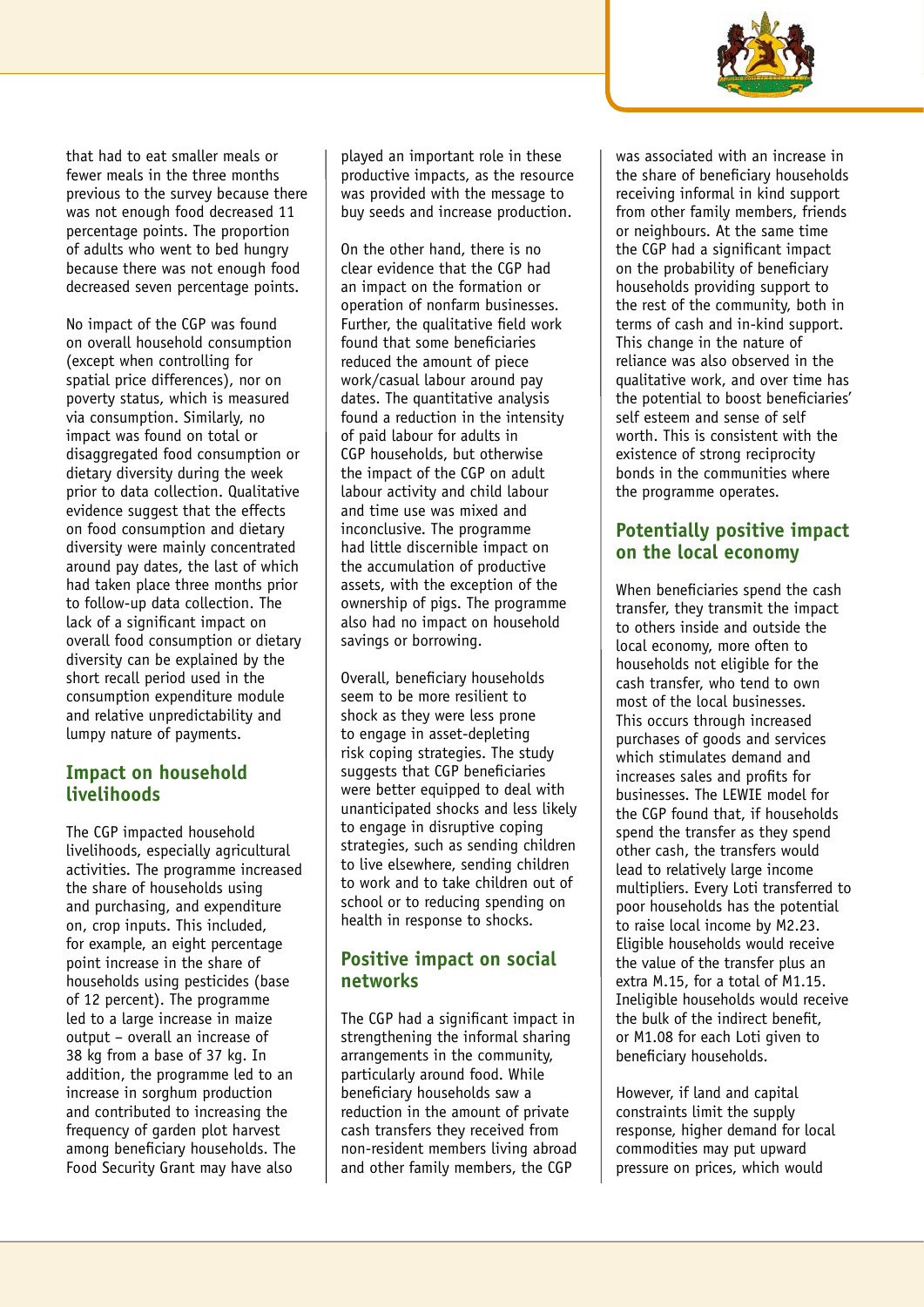

that had to eat smaller meals or fewer meals in the three months previous to the survey because there was not enough food decreased 11 percentage points. The proportion of adults who went to bed hungry because there was not enough food decreased seven percentage points.

No impact of the CGP was found on overall household consumption (except when controlling for spatial price differences), nor on poverty status, which is measured via consumption. Similarly, no impact was found on total or disaggregated food consumption or dietary diversity during the week prior to data collection. Qualitative evidence suggest that the effects on food consumption and dietary diversity were mainly concentrated around pay dates, the last of which had taken place three months prior to follow-up data collection. The lack of a significant impact on overall food consumption or dietary diversity can be explained by the short recall period used in the consumption expenditure module and relative unpredictability and lumpy nature of payments.

## **Impact on household livelihoods**

The CGP impacted household livelihoods, especially agricultural activities. The programme increased the share of households using and purchasing, and expenditure on, crop inputs. This included, for example, an eight percentage point increase in the share of households using pesticides (base of 12 percent). The programme led to a large increase in maize output – overall an increase of 38 kg from a base of 37 kg. In addition, the programme led to an increase in sorghum production and contributed to increasing the frequency of garden plot harvest among beneficiary households. The Food Security Grant may have also

played an important role in these productive impacts, as the resource was provided with the message to buy seeds and increase production.

On the other hand, there is no clear evidence that the CGP had an impact on the formation or operation of nonfarm businesses. Further, the qualitative field work found that some beneficiaries reduced the amount of piece work/casual labour around pay dates. The quantitative analysis found a reduction in the intensity of paid labour for adults in CGP households, but otherwise the impact of the CGP on adult labour activity and child labour and time use was mixed and inconclusive. The programme had little discernible impact on the accumulation of productive assets, with the exception of the ownership of pigs. The programme also had no impact on household savings or borrowing.

Overall, beneficiary households seem to be more resilient to shock as they were less prone to engage in asset-depleting risk coping strategies. The study suggests that CGP beneficiaries were better equipped to deal with unanticipated shocks and less likely to engage in disruptive coping strategies, such as sending children to live elsewhere, sending children to work and to take children out of school or to reducing spending on health in response to shocks.

# **Positive impact on social networks**

The CGP had a significant impact in strengthening the informal sharing arrangements in the community, particularly around food. While beneficiary households saw a reduction in the amount of private cash transfers they received from non-resident members living abroad and other family members, the CGP

was associated with an increase in the share of beneficiary households receiving informal in kind support from other family members, friends or neighbours. At the same time the CGP had a significant impact on the probability of beneficiary households providing support to the rest of the community, both in terms of cash and in-kind support. This change in the nature of reliance was also observed in the qualitative work, and over time has the potential to boost beneficiaries' self esteem and sense of self worth. This is consistent with the existence of strong reciprocity bonds in the communities where the programme operates.

# **Potentially positive impact on the local economy**

When beneficiaries spend the cash transfer, they transmit the impact to others inside and outside the local economy, more often to households not eligible for the cash transfer, who tend to own most of the local businesses. This occurs through increased purchases of goods and services which stimulates demand and increases sales and profits for businesses. The LEWIE model for the CGP found that, if households spend the transfer as they spend other cash, the transfers would lead to relatively large income multipliers. Every Loti transferred to poor households has the potential to raise local income by M2.23. Eligible households would receive the value of the transfer plus an extra M.15, for a total of M1.15. Ineligible households would receive the bulk of the indirect benefit, or M1.08 for each Loti given to beneficiary households.

However, if land and capital constraints limit the supply response, higher demand for local commodities may put upward pressure on prices, which would